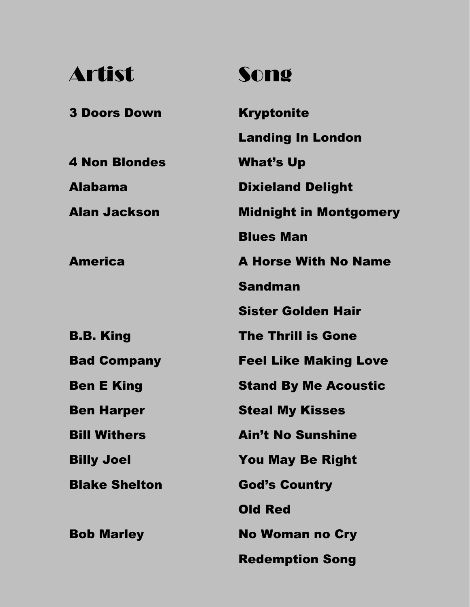## Artist Song

3 Doors Down Kryptonite Landing In London 4 Non Blondes What's Up Alabama Dixieland Delight Alan Jackson Midnight in Montgomery Blues Man America B.B. King A Horse With No Name Sandman Sister Golden Hair The Thrill is Gone Bad Company Feel Like Making Love Ben E King Ben Harper Bill Withers Billy Joel Stand By Me Acoustic Steal My Kisses Ain't No Sunshine You May Be Right **Blake Shelton God's Country** Old Red Bob Marley No Woman no Cry Redemption Song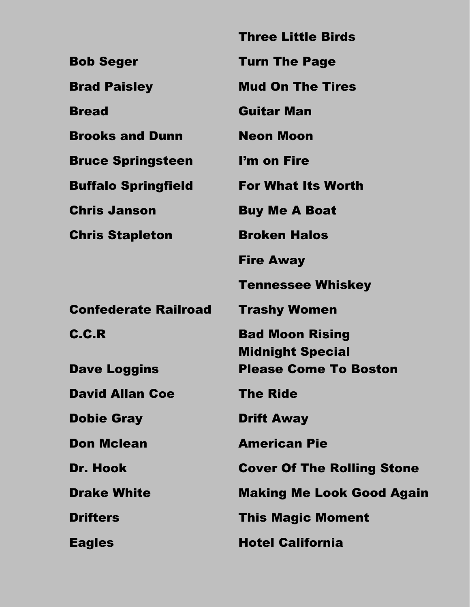|                             | <b>Three Little Birds</b>                               |
|-----------------------------|---------------------------------------------------------|
| <b>Bob Seger</b>            | <b>Turn The Page</b>                                    |
| <b>Brad Paisley</b>         | <b>Mud On The Tires</b>                                 |
| <b>Bread</b>                | <b>Guitar Man</b>                                       |
| <b>Brooks and Dunn</b>      | <b>Neon Moon</b>                                        |
| <b>Bruce Springsteen</b>    | I'm on Fire                                             |
| <b>Buffalo Springfield</b>  | <b>For What Its Worth</b>                               |
| <b>Chris Janson</b>         | <b>Buy Me A Boat</b>                                    |
| <b>Chris Stapleton</b>      | <b>Broken Halos</b>                                     |
|                             | <b>Fire Away</b>                                        |
|                             | <b>Tennessee Whiskey</b>                                |
| <b>Confederate Railroad</b> | <b>Trashy Women</b>                                     |
| C.C.R                       | <b>Bad Moon Rising</b>                                  |
| <b>Dave Loggins</b>         | <b>Midnight Special</b><br><b>Please Come To Boston</b> |
| <b>David Allan Coe</b>      | <b>The Ride</b>                                         |
| <b>Dobie Gray</b>           | <b>Drift Away</b>                                       |
| <b>Don Mclean</b>           | <b>American Pie</b>                                     |
| Dr. Hook                    | <b>Cover Of The Rolling Stone</b>                       |
| <b>Drake White</b>          | <b>Making Me Look Good Again</b>                        |
| <b>Drifters</b>             | <b>This Magic Moment</b>                                |
|                             |                                                         |
| <b>Eagles</b>               | <b>Hotel California</b>                                 |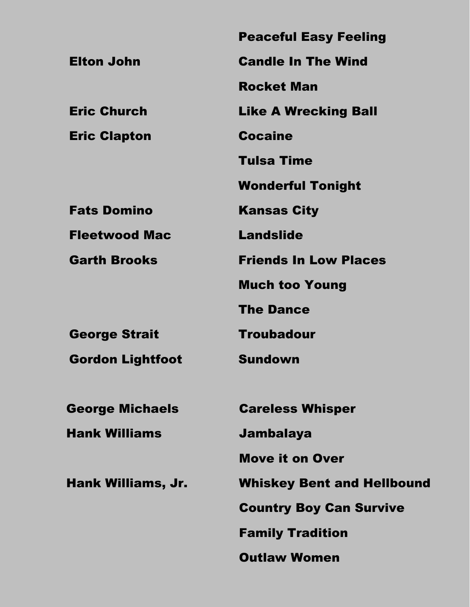|                         | <b>Peaceful Easy Feeling</b>      |
|-------------------------|-----------------------------------|
| <b>Elton John</b>       | <b>Candle In The Wind</b>         |
|                         | <b>Rocket Man</b>                 |
| <b>Eric Church</b>      | <b>Like A Wrecking Ball</b>       |
| <b>Eric Clapton</b>     | <b>Cocaine</b>                    |
|                         | <b>Tulsa Time</b>                 |
|                         | <b>Wonderful Tonight</b>          |
| <b>Fats Domino</b>      | <b>Kansas City</b>                |
| <b>Fleetwood Mac</b>    | <b>Landslide</b>                  |
| <b>Garth Brooks</b>     | <b>Friends In Low Places</b>      |
|                         | <b>Much too Young</b>             |
|                         | <b>The Dance</b>                  |
| <b>George Strait</b>    | <b>Troubadour</b>                 |
| <b>Gordon Lightfoot</b> | <b>Sundown</b>                    |
|                         |                                   |
| <b>George Michaels</b>  | <b>Careless Whisper</b>           |
| <b>Hank Williams</b>    | Jambalaya                         |
|                         | <b>Move it on Over</b>            |
| Hank Williams, Jr.      | <b>Whiskey Bent and Hellbound</b> |
|                         | <b>Country Boy Can Survive</b>    |
|                         | <b>Family Tradition</b>           |
|                         | <b>Outlaw Women</b>               |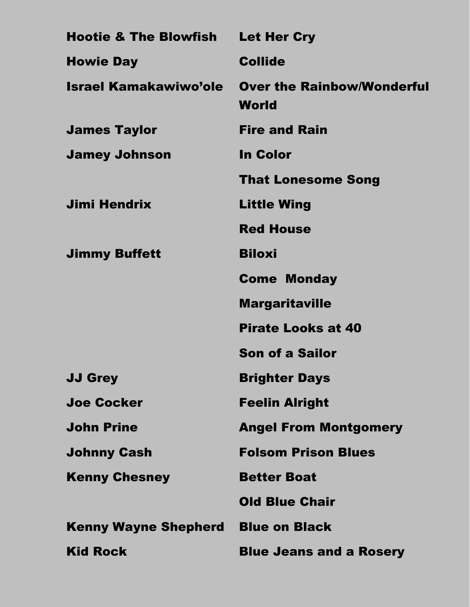| <b>Hootie &amp; The Blowfish</b> | <b>Let Her Cry</b>                         |
|----------------------------------|--------------------------------------------|
| <b>Howie Day</b>                 | <b>Collide</b>                             |
| Israel Kamakawiwo'ole            | <b>Over the Rainbow/Wonderful</b><br>World |
| <b>James Taylor</b>              | <b>Fire and Rain</b>                       |
| <b>Jamey Johnson</b>             | <b>In Color</b>                            |
|                                  | <b>That Lonesome Song</b>                  |
| <b>Jimi Hendrix</b>              | <b>Little Wing</b>                         |
|                                  | <b>Red House</b>                           |
| <b>Jimmy Buffett</b>             | <b>Biloxi</b>                              |
|                                  | <b>Come Monday</b>                         |
|                                  | <b>Margaritaville</b>                      |
|                                  | <b>Pirate Looks at 40</b>                  |
|                                  | <b>Son of a Sailor</b>                     |
| <b>JJ Grey</b>                   | <b>Brighter Days</b>                       |
| <b>Joe Cocker</b>                | <b>Feelin Alright</b>                      |
| <b>John Prine</b>                | <b>Angel From Montgomery</b>               |
| <b>Johnny Cash</b>               | <b>Folsom Prison Blues</b>                 |
| <b>Kenny Chesney</b>             | <b>Better Boat</b>                         |
|                                  | <b>Old Blue Chair</b>                      |
| <b>Kenny Wayne Shepherd</b>      | <b>Blue on Black</b>                       |
| <b>Kid Rock</b>                  | <b>Blue Jeans and a Rosery</b>             |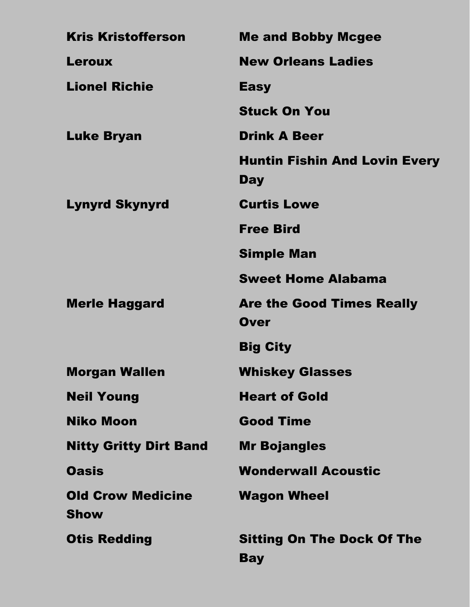| <b>Kris Kristofferson</b>               | <b>Me and Bobby Mcgee</b>                          |
|-----------------------------------------|----------------------------------------------------|
| <b>Leroux</b>                           | <b>New Orleans Ladies</b>                          |
| <b>Lionel Richie</b>                    | <b>Easy</b>                                        |
|                                         | <b>Stuck On You</b>                                |
| <b>Luke Bryan</b>                       | <b>Drink A Beer</b>                                |
|                                         | <b>Huntin Fishin And Lovin Every</b><br><b>Day</b> |
| <b>Lynyrd Skynyrd</b>                   | <b>Curtis Lowe</b>                                 |
|                                         | <b>Free Bird</b>                                   |
|                                         | <b>Simple Man</b>                                  |
|                                         | <b>Sweet Home Alabama</b>                          |
| <b>Merle Haggard</b>                    | <b>Are the Good Times Really</b>                   |
|                                         | <b>Over</b>                                        |
|                                         | <b>Big City</b>                                    |
| <b>Morgan Wallen</b>                    | <b>Whiskey Glasses</b>                             |
| <b>Neil Young</b>                       | <b>Heart of Gold</b>                               |
| <b>Niko Moon</b>                        | <b>Good Time</b>                                   |
| <b>Nitty Gritty Dirt Band</b>           | <b>Mr Bojangles</b>                                |
| <b>Oasis</b>                            | <b>Wonderwall Acoustic</b>                         |
| <b>Old Crow Medicine</b><br><b>Show</b> | <b>Wagon Wheel</b>                                 |
| <b>Otis Redding</b>                     | <b>Sitting On The Dock Of The</b><br><b>Bay</b>    |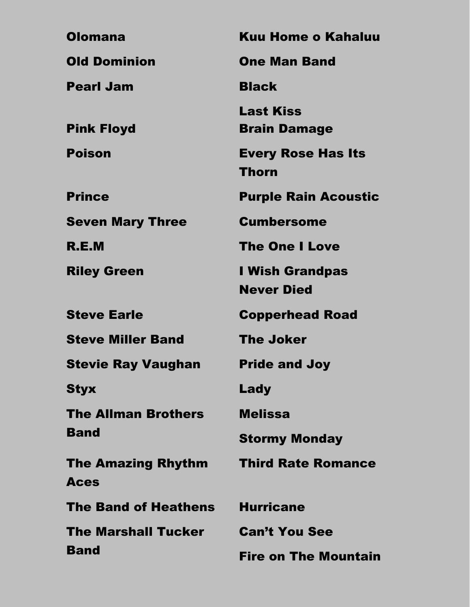| <b>Olomana</b>                           | <b>Kuu Home o Kahaluu</b>               |
|------------------------------------------|-----------------------------------------|
| <b>Old Dominion</b>                      | <b>One Man Band</b>                     |
| <b>Pearl Jam</b>                         | <b>Black</b>                            |
| <b>Pink Floyd</b>                        | <b>Last Kiss</b><br><b>Brain Damage</b> |
| <b>Poison</b>                            | <b>Every Rose Has Its</b><br>Thorn      |
| <b>Prince</b>                            | <b>Purple Rain Acoustic</b>             |
| <b>Seven Mary Three</b>                  | <b>Cumbersome</b>                       |
| R.E.M                                    | <b>The One I Love</b>                   |
| <b>Riley Green</b>                       | I Wish Grandpas<br><b>Never Died</b>    |
| <b>Steve Earle</b>                       | <b>Copperhead Road</b>                  |
| <b>Steve Miller Band</b>                 | <b>The Joker</b>                        |
| <b>Stevie Ray Vaughan</b>                | <b>Pride and Joy</b>                    |
| <b>Styx</b>                              | Lady                                    |
| <b>The Allman Brothers</b>               | <b>Melissa</b>                          |
| <b>Band</b>                              | <b>Stormy Monday</b>                    |
| <b>The Amazing Rhythm</b><br><b>Aces</b> | <b>Third Rate Romance</b>               |
| <b>The Band of Heathens</b>              | <b>Hurricane</b>                        |
| <b>The Marshall Tucker</b>               | <b>Can't You See</b>                    |
| <b>Band</b>                              | <b>Fire on The Mountain</b>             |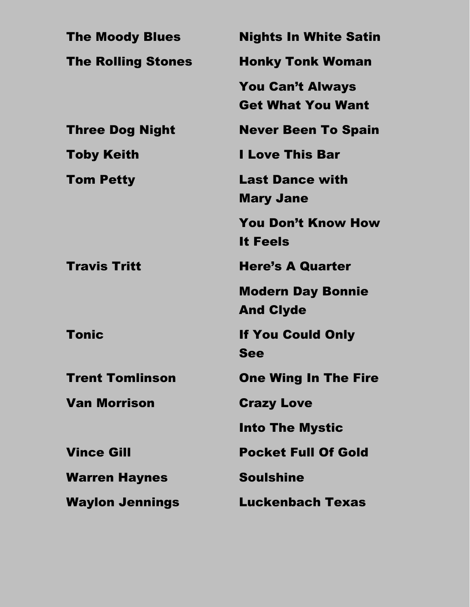| <b>The Moody Blues</b>    | <b>Nights In White Satin</b>                        |
|---------------------------|-----------------------------------------------------|
| <b>The Rolling Stones</b> | <b>Honky Tonk Woman</b>                             |
|                           | <b>You Can't Always</b><br><b>Get What You Want</b> |
| <b>Three Dog Night</b>    | <b>Never Been To Spain</b>                          |
| <b>Toby Keith</b>         | <b>I Love This Bar</b>                              |
| <b>Tom Petty</b>          | <b>Last Dance with</b><br><b>Mary Jane</b>          |
|                           | <b>You Don't Know How</b><br><b>It Feels</b>        |
| <b>Travis Tritt</b>       | <b>Here's A Quarter</b>                             |
|                           | <b>Modern Day Bonnie</b><br><b>And Clyde</b>        |
| <b>Tonic</b>              | <b>If You Could Only</b><br>See                     |
| <b>Trent Tomlinson</b>    | <b>One Wing In The Fire</b>                         |
| <b>Van Morrison</b>       | <b>Crazy Love</b>                                   |
|                           | <b>Into The Mystic</b>                              |
| <b>Vince Gill</b>         | <b>Pocket Full Of Gold</b>                          |
| <b>Warren Haynes</b>      | <b>Soulshine</b>                                    |
| <b>Waylon Jennings</b>    | <b>Luckenbach Texas</b>                             |